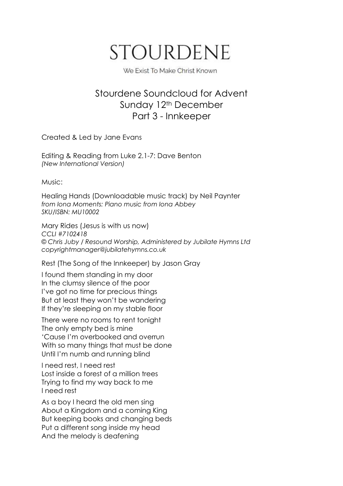## **STOURDENE**

We Exist To Make Christ Known

## Stourdene Soundcloud for Advent Sunday 12<sup>th</sup> December Part 3 - Innkeeper

Created & Led by Jane Evans

Editing & Reading from Luke 2.1-7: Dave Benton *(New International Version)*

Music:

Healing Hands (Downloadable music track) by Neil [Paynter](https://www.ionabooks.com/catalogsearch/advanced/result/?authors%5b%5d=25) *from Iona Moments: Piano music from Iona Abbey SKU/ISBN: MU10002*

Mary Rides (Jesus is with us now) *CCLI #7102418 © Chris Juby / Resound Worship, Administered by Jubilate Hymns Ltd [copyrightmanager@jubilatehymns.co.uk](mailto:copyrightmanager@jubilatehymns.co.uk)*

Rest (The Song of the Innkeeper) by Jason Gray

I found them standing in my door In the clumsy silence of the poor I've got no time for precious things But at least they won't be wandering If they're sleeping on my stable floor

There were no rooms to rent tonight The only empty bed is mine 'Cause I'm overbooked and overrun With so many things that must be done Until I'm numb and running blind

I need rest, I need rest Lost inside a forest of a million trees Trying to find my way back to me I need rest

As a boy I heard the old men sing About a Kingdom and a coming King But keeping books and changing beds Put a different song inside my head And the melody is deafening